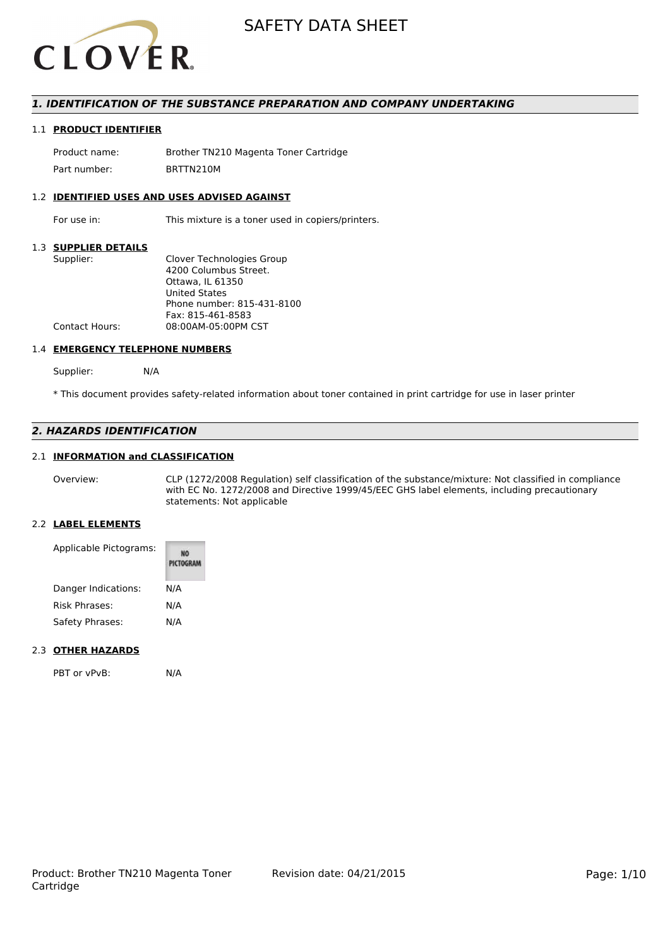

## *1. IDENTIFICATION OF THE SUBSTANCE PREPARATION AND COMPANY UNDERTAKING*

## 1.1 **PRODUCT IDENTIFIER**

Product name: Brother TN210 Magenta Toner Cartridge Part number: BRTTN210M

#### 1.2 **IDENTIFIED USES AND USES ADVISED AGAINST**

For use in: This mixture is a toner used in copiers/printers.

#### 1.3 **SUPPLIER DETAILS**

| Supplier:             | Clover Technologies Group  |
|-----------------------|----------------------------|
|                       | 4200 Columbus Street.      |
|                       | Ottawa. IL 61350           |
|                       | <b>United States</b>       |
|                       | Phone number: 815-431-8100 |
|                       | Fax: 815-461-8583          |
| <b>Contact Hours:</b> | 08:00AM-05:00PM CST        |
|                       |                            |

#### 1.4 **EMERGENCY TELEPHONE NUMBERS**

Supplier: N/A

\* This document provides safety-related information about toner contained in print cartridge for use in laser printer

## *2. HAZARDS IDENTIFICATION*

#### 2.1 **INFORMATION and CLASSIFICATION**

Overview: CLP (1272/2008 Regulation) self classification of the substance/mixture: Not classified in compliance with EC No. 1272/2008 and Directive 1999/45/EEC GHS label elements, including precautionary statements: Not applicable

#### 2.2 **LABEL ELEMENTS**

| Applicable Pictograms: | PICTOGRAM |
|------------------------|-----------|
| Danger Indications:    | N/A       |
| Risk Phrases:          | N/A       |
| Safety Phrases:        | N/A       |

#### 2.3 **OTHER HAZARDS**

PBT or vPvB: N/A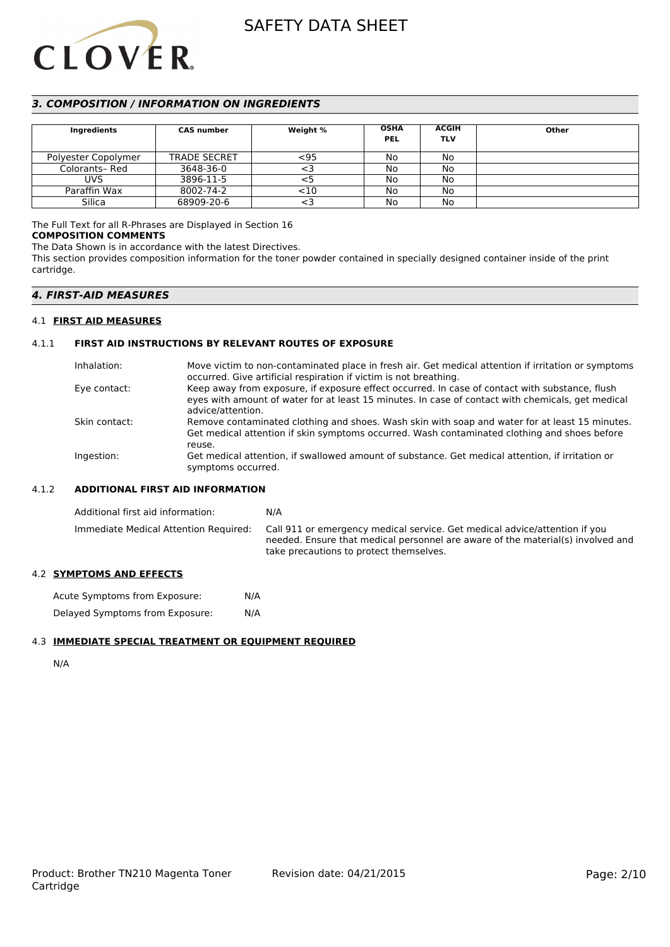# **CLOVER**

# SAFETY DATA SHEET

## *3. COMPOSITION / INFORMATION ON INGREDIENTS*

| <b>Ingredients</b>  | <b>CAS number</b>   | Weight % | <b>OSHA</b><br><b>PEL</b> | <b>ACGIH</b><br><b>TLV</b> | Other |
|---------------------|---------------------|----------|---------------------------|----------------------------|-------|
| Polyester Copolymer | <b>TRADE SECRET</b> | $95$     | No                        | No                         |       |
| Colorants-Red       | 3648-36-0           | <3       | No                        | No                         |       |
| UVS.                | 3896-11-5           | <5       | No                        | No                         |       |
| Paraffin Wax        | 8002-74-2           | $<$ 10   | No                        | No                         |       |
| Silica              | 68909-20-6          | <3       | No                        | No                         |       |

## The Full Text for all R-Phrases are Displayed in Section 16

#### **COMPOSITION COMMENTS**

The Data Shown is in accordance with the latest Directives.

This section provides composition information for the toner powder contained in specially designed container inside of the print cartridge.

#### *4. FIRST-AID MEASURES*

#### 4.1 **FIRST AID MEASURES**

#### 4.1.1 **FIRST AID INSTRUCTIONS BY RELEVANT ROUTES OF EXPOSURE**

| Inhalation:   | Move victim to non-contaminated place in fresh air. Get medical attention if irritation or symptoms<br>occurred. Give artificial respiration if victim is not breathing.                                                 |
|---------------|--------------------------------------------------------------------------------------------------------------------------------------------------------------------------------------------------------------------------|
| Eye contact:  | Keep away from exposure, if exposure effect occurred. In case of contact with substance, flush<br>eyes with amount of water for at least 15 minutes. In case of contact with chemicals, get medical<br>advice/attention. |
| Skin contact: | Remove contaminated clothing and shoes. Wash skin with soap and water for at least 15 minutes.<br>Get medical attention if skin symptoms occurred. Wash contaminated clothing and shoes before<br>reuse.                 |
| Ingestion:    | Get medical attention, if swallowed amount of substance. Get medical attention, if irritation or<br>symptoms occurred.                                                                                                   |

#### 4.1.2 **ADDITIONAL FIRST AID INFORMATION**

Additional first aid information: N/A Immediate Medical Attention Required: Call 911 or emergency medical service. Get medical advice/attention if you needed. Ensure that medical personnel are aware of the material(s) involved and take precautions to protect themselves.

#### 4.2 **SYMPTOMS AND EFFECTS**

Acute Symptoms from Exposure: N/A Delayed Symptoms from Exposure: N/A

#### 4.3 **IMMEDIATE SPECIAL TREATMENT OR EQUIPMENT REQUIRED**

N/A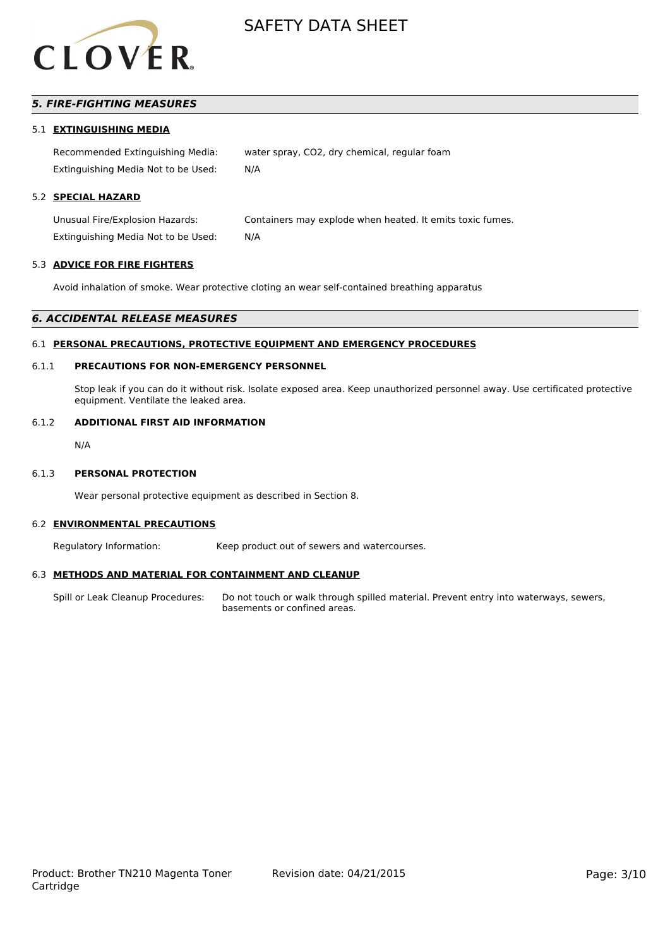

## *5. FIRE-FIGHTING MEASURES*

#### 5.1 **EXTINGUISHING MEDIA**

Recommended Extinguishing Media: water spray, CO2, dry chemical, regular foam Extinguishing Media Not to be Used: N/A

#### 5.2 **SPECIAL HAZARD**

Unusual Fire/Explosion Hazards: Containers may explode when heated. It emits toxic fumes. Extinguishing Media Not to be Used: N/A

#### 5.3 **ADVICE FOR FIRE FIGHTERS**

Avoid inhalation of smoke. Wear protective cloting an wear self-contained breathing apparatus

#### *6. ACCIDENTAL RELEASE MEASURES*

#### 6.1 **PERSONAL PRECAUTIONS, PROTECTIVE EQUIPMENT AND EMERGENCY PROCEDURES**

#### 6.1.1 **PRECAUTIONS FOR NON-EMERGENCY PERSONNEL**

Stop leak if you can do it without risk. Isolate exposed area. Keep unauthorized personnel away. Use certificated protective equipment. Ventilate the leaked area.

#### 6.1.2 **ADDITIONAL FIRST AID INFORMATION**

N/A

#### 6.1.3 **PERSONAL PROTECTION**

Wear personal protective equipment as described in Section 8.

#### 6.2 **ENVIRONMENTAL PRECAUTIONS**

Regulatory Information: Keep product out of sewers and watercourses.

#### 6.3 **METHODS AND MATERIAL FOR CONTAINMENT AND CLEANUP**

Spill or Leak Cleanup Procedures: Do not touch or walk through spilled material. Prevent entry into waterways, sewers, basements or confined areas.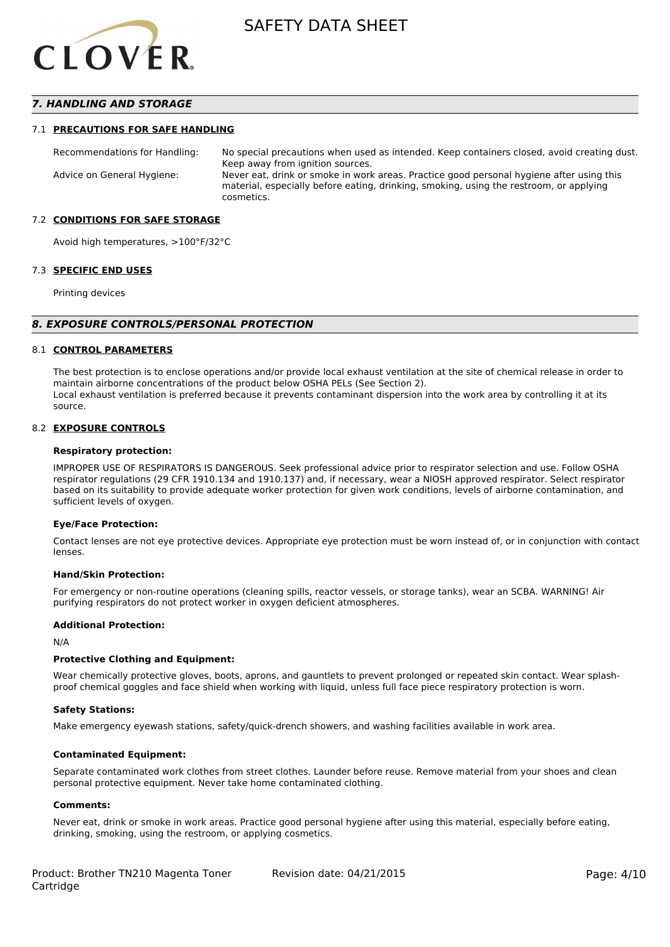

## *7. HANDLING AND STORAGE*

#### 7.1 **PRECAUTIONS FOR SAFE HANDLING**

Recommendations for Handling: No special precautions when used as intended. Keep containers closed, avoid creating dust. Keep away from ignition sources. Advice on General Hygiene: Never eat, drink or smoke in work areas. Practice good personal hygiene after using this material, especially before eating, drinking, smoking, using the restroom, or applying cosmetics.

#### 7.2 **CONDITIONS FOR SAFE STORAGE**

Avoid high temperatures, >100°F/32°C

#### 7.3 **SPECIFIC END USES**

Printing devices

#### *8. EXPOSURE CONTROLS/PERSONAL PROTECTION*

#### 8.1 **CONTROL PARAMETERS**

The best protection is to enclose operations and/or provide local exhaust ventilation at the site of chemical release in order to maintain airborne concentrations of the product below OSHA PELs (See Section 2). Local exhaust ventilation is preferred because it prevents contaminant dispersion into the work area by controlling it at its source.

#### 8.2 **EXPOSURE CONTROLS**

#### **Respiratory protection:**

IMPROPER USE OF RESPIRATORS IS DANGEROUS. Seek professional advice prior to respirator selection and use. Follow OSHA respirator regulations (29 CFR 1910.134 and 1910.137) and, if necessary, wear a NIOSH approved respirator. Select respirator based on its suitability to provide adequate worker protection for given work conditions, levels of airborne contamination, and sufficient levels of oxygen.

#### **Eye/Face Protection:**

Contact lenses are not eye protective devices. Appropriate eye protection must be worn instead of, or in conjunction with contact lenses.

#### **Hand/Skin Protection:**

For emergency or non-routine operations (cleaning spills, reactor vessels, or storage tanks), wear an SCBA. WARNING! Air purifying respirators do not protect worker in oxygen deficient atmospheres.

#### **Additional Protection:**

N/A

#### **Protective Clothing and Equipment:**

Wear chemically protective gloves, boots, aprons, and gauntlets to prevent prolonged or repeated skin contact. Wear splashproof chemical goggles and face shield when working with liquid, unless full face piece respiratory protection is worn.

#### **Safety Stations:**

Make emergency eyewash stations, safety/quick-drench showers, and washing facilities available in work area.

#### **Contaminated Equipment:**

Separate contaminated work clothes from street clothes. Launder before reuse. Remove material from your shoes and clean personal protective equipment. Never take home contaminated clothing.

#### **Comments:**

Never eat, drink or smoke in work areas. Practice good personal hygiene after using this material, especially before eating, drinking, smoking, using the restroom, or applying cosmetics.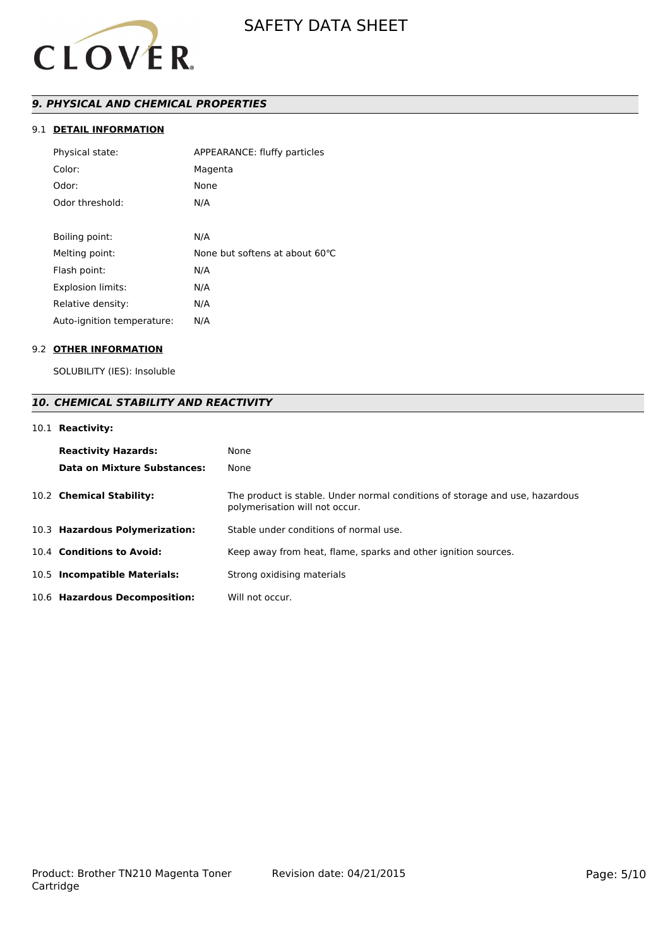

# *9. PHYSICAL AND CHEMICAL PROPERTIES*

## 9.1 **DETAIL INFORMATION**

| Physical state:            | APPEARANCE: fluffy particles   |
|----------------------------|--------------------------------|
| Color:                     | Magenta                        |
| Odor:                      | None                           |
| Odor threshold:            | N/A                            |
|                            |                                |
| Boiling point:             | N/A                            |
| Melting point:             | None but softens at about 60°C |
| Flash point:               | N/A                            |
| Explosion limits:          | N/A                            |
| Relative density:          | N/A                            |
| Auto-ignition temperature: | N/A                            |

#### 9.2 **OTHER INFORMATION**

SOLUBILITY (IES): Insoluble

# *10. CHEMICAL STABILITY AND REACTIVITY*

## 10.1 **Reactivity:**

| <b>Reactivity Hazards:</b><br>Data on Mixture Substances: | None<br>None                                                                                                   |
|-----------------------------------------------------------|----------------------------------------------------------------------------------------------------------------|
| 10.2 Chemical Stability:                                  | The product is stable. Under normal conditions of storage and use, hazardous<br>polymerisation will not occur. |
| 10.3 Hazardous Polymerization:                            | Stable under conditions of normal use.                                                                         |
| 10.4 Conditions to Avoid:                                 | Keep away from heat, flame, sparks and other ignition sources.                                                 |
| 10.5 Incompatible Materials:                              | Strong oxidising materials                                                                                     |
| 10.6 Hazardous Decomposition:                             | Will not occur.                                                                                                |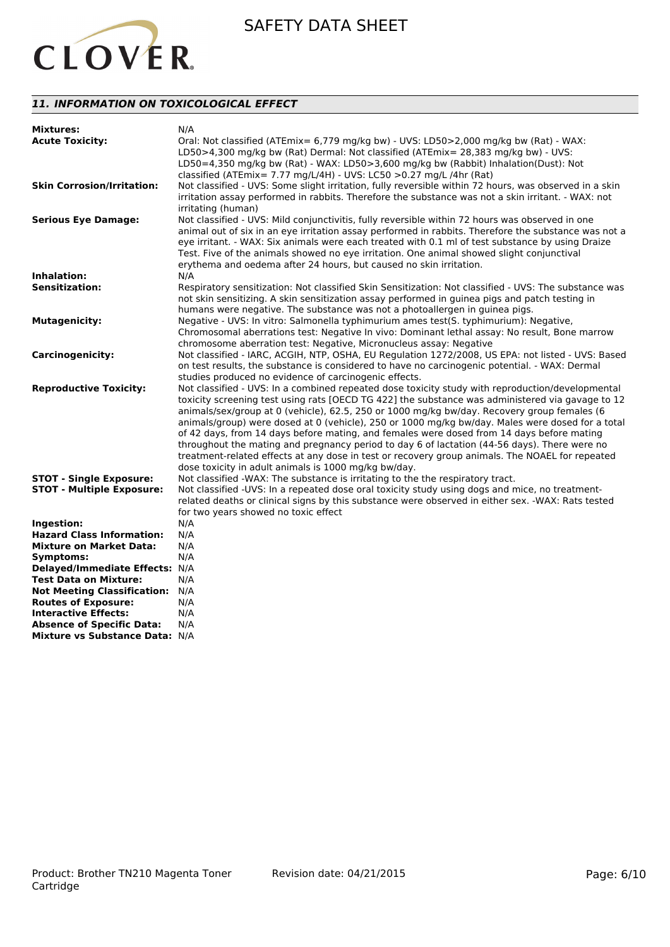# **CLOVER**

# SAFETY DATA SHEET

# *11. INFORMATION ON TOXICOLOGICAL EFFECT*

| <b>Mixtures:</b>                      | N/A                                                                                                                                                                                           |
|---------------------------------------|-----------------------------------------------------------------------------------------------------------------------------------------------------------------------------------------------|
| <b>Acute Toxicity:</b>                | Oral: Not classified (ATEmix= 6,779 mg/kg bw) - UVS: LD50>2,000 mg/kg bw (Rat) - WAX:                                                                                                         |
|                                       | LD50>4,300 mg/kg bw (Rat) Dermal: Not classified (ATEmix= 28,383 mg/kg bw) - UVS:                                                                                                             |
|                                       | LD50=4,350 mg/kg bw (Rat) - WAX: LD50>3,600 mg/kg bw (Rabbit) Inhalation(Dust): Not                                                                                                           |
|                                       | classified (ATEmix= $7.77$ mg/L/4H) - UVS: LC50 > 0.27 mg/L/4hr (Rat)                                                                                                                         |
| <b>Skin Corrosion/Irritation:</b>     | Not classified - UVS: Some slight irritation, fully reversible within 72 hours, was observed in a skin                                                                                        |
|                                       | irritation assay performed in rabbits. Therefore the substance was not a skin irritant. - WAX: not                                                                                            |
|                                       | irritating (human)                                                                                                                                                                            |
| <b>Serious Eye Damage:</b>            | Not classified - UVS: Mild conjunctivitis, fully reversible within 72 hours was observed in one                                                                                               |
|                                       | animal out of six in an eye irritation assay performed in rabbits. Therefore the substance was not a                                                                                          |
|                                       | eye irritant. - WAX: Six animals were each treated with 0.1 ml of test substance by using Draize<br>Test. Five of the animals showed no eye irritation. One animal showed slight conjunctival |
|                                       | erythema and oedema after 24 hours, but caused no skin irritation.                                                                                                                            |
| Inhalation:                           | N/A                                                                                                                                                                                           |
| <b>Sensitization:</b>                 | Respiratory sensitization: Not classified Skin Sensitization: Not classified - UVS: The substance was                                                                                         |
|                                       | not skin sensitizing. A skin sensitization assay performed in guinea pigs and patch testing in                                                                                                |
|                                       | humans were negative. The substance was not a photoallergen in guinea pigs.                                                                                                                   |
| <b>Mutagenicity:</b>                  | Negative - UVS: In vitro: Salmonella typhimurium ames test(S. typhimurium): Negative,                                                                                                         |
|                                       | Chromosomal aberrations test: Negative In vivo: Dominant lethal assay: No result, Bone marrow                                                                                                 |
|                                       | chromosome aberration test: Negative, Micronucleus assay: Negative                                                                                                                            |
| <b>Carcinogenicity:</b>               | Not classified - IARC, ACGIH, NTP, OSHA, EU Regulation 1272/2008, US EPA: not listed - UVS: Based                                                                                             |
|                                       | on test results, the substance is considered to have no carcinogenic potential. - WAX: Dermal                                                                                                 |
|                                       | studies produced no evidence of carcinogenic effects.                                                                                                                                         |
| <b>Reproductive Toxicity:</b>         | Not classified - UVS: In a combined repeated dose toxicity study with reproduction/developmental                                                                                              |
|                                       | toxicity screening test using rats [OECD TG 422] the substance was administered via gavage to 12                                                                                              |
|                                       | animals/sex/group at 0 (vehicle), 62.5, 250 or 1000 mg/kg bw/day. Recovery group females (6                                                                                                   |
|                                       | animals/group) were dosed at 0 (vehicle), 250 or 1000 mg/kg bw/day. Males were dosed for a total                                                                                              |
|                                       | of 42 days, from 14 days before mating, and females were dosed from 14 days before mating                                                                                                     |
|                                       | throughout the mating and pregnancy period to day 6 of lactation (44-56 days). There were no                                                                                                  |
|                                       | treatment-related effects at any dose in test or recovery group animals. The NOAEL for repeated                                                                                               |
| <b>STOT - Single Exposure:</b>        | dose toxicity in adult animals is 1000 mg/kg bw/day.<br>Not classified -WAX: The substance is irritating to the the respiratory tract.                                                        |
| <b>STOT - Multiple Exposure:</b>      | Not classified - UVS: In a repeated dose oral toxicity study using dogs and mice, no treatment-                                                                                               |
|                                       | related deaths or clinical signs by this substance were observed in either sex. - WAX: Rats tested                                                                                            |
|                                       | for two years showed no toxic effect                                                                                                                                                          |
| Ingestion:                            | N/A                                                                                                                                                                                           |
| <b>Hazard Class Information:</b>      | N/A                                                                                                                                                                                           |
| <b>Mixture on Market Data:</b>        | N/A                                                                                                                                                                                           |
| Symptoms:                             | N/A                                                                                                                                                                                           |
| Delayed/Immediate Effects: N/A        |                                                                                                                                                                                               |
| <b>Test Data on Mixture:</b>          | N/A                                                                                                                                                                                           |
| <b>Not Meeting Classification:</b>    | N/A                                                                                                                                                                                           |
| <b>Routes of Exposure:</b>            | N/A                                                                                                                                                                                           |
| <b>Interactive Effects:</b>           | N/A                                                                                                                                                                                           |
| <b>Absence of Specific Data:</b>      | N/A                                                                                                                                                                                           |
| <b>Mixture vs Substance Data: N/A</b> |                                                                                                                                                                                               |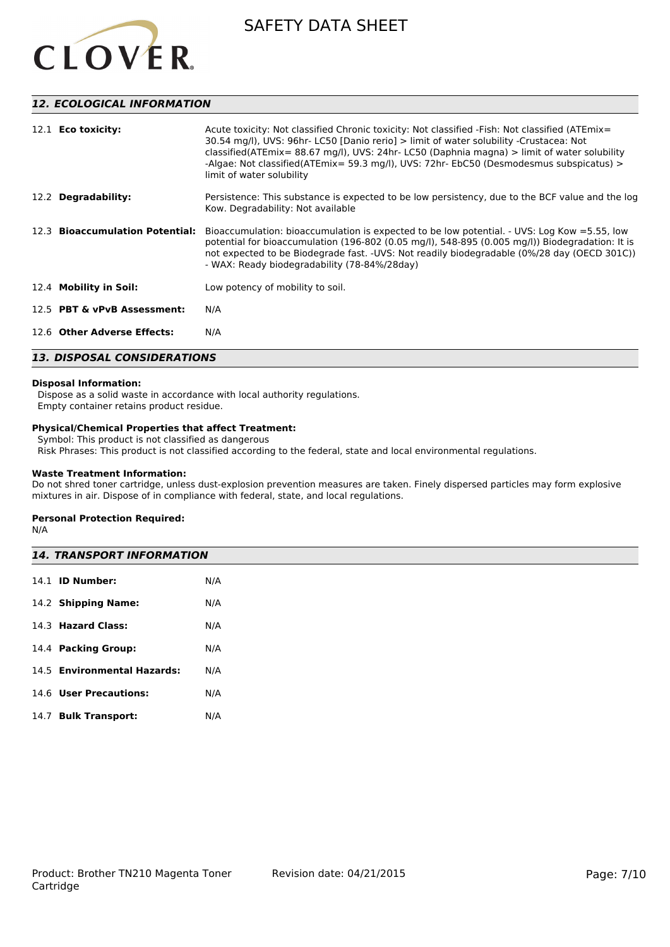

# *12. ECOLOGICAL INFORMATION*

| 12.1 <b>Eco toxicity:</b>       | Acute toxicity: Not classified Chronic toxicity: Not classified -Fish: Not classified (ATEmix=<br>30.54 mg/l), UVS: 96hr- LC50 [Danio rerio] > limit of water solubility -Crustacea: Not<br>classified(ATEmix= $88.67$ mg/l), UVS: 24hr-LC50 (Daphnia magna) > limit of water solubility<br>-Algae: Not classified(ATEmix= 59.3 mg/l), UVS: 72hr- EbC50 (Desmodesmus subspicatus) ><br>limit of water solubility |
|---------------------------------|------------------------------------------------------------------------------------------------------------------------------------------------------------------------------------------------------------------------------------------------------------------------------------------------------------------------------------------------------------------------------------------------------------------|
| 12.2 Degradability:             | Persistence: This substance is expected to be low persistency, due to the BCF value and the log<br>Kow. Degradability: Not available                                                                                                                                                                                                                                                                             |
| 12.3 Bioaccumulation Potential: | Bioaccumulation: bioaccumulation is expected to be low potential. - UVS: Log Kow = 5.55, low<br>potential for bioaccumulation (196-802 (0.05 mg/l), 548-895 (0.005 mg/l)) Biodegradation: It is<br>not expected to be Biodegrade fast. - UVS: Not readily biodegradable (0%/28 day (OECD 301C))<br>- WAX: Ready biodegradability (78-84%/28day)                                                                  |
| 12.4 Mobility in Soil:          | Low potency of mobility to soil.                                                                                                                                                                                                                                                                                                                                                                                 |
| 12.5 PBT & vPvB Assessment:     | N/A                                                                                                                                                                                                                                                                                                                                                                                                              |
| 12.6 Other Adverse Effects:     | N/A                                                                                                                                                                                                                                                                                                                                                                                                              |

# *13. DISPOSAL CONSIDERATIONS*

#### **Disposal Information:**

Dispose as a solid waste in accordance with local authority regulations.

Empty container retains product residue.

#### **Physical/Chemical Properties that affect Treatment:**

Symbol: This product is not classified as dangerous

Risk Phrases: This product is not classified according to the federal, state and local environmental regulations.

#### **Waste Treatment Information:**

Do not shred toner cartridge, unless dust-explosion prevention measures are taken. Finely dispersed particles may form explosive mixtures in air. Dispose of in compliance with federal, state, and local regulations.

#### **Personal Protection Required:**

N/A

| <b>14. TRANSPORT INFORMATION</b> |     |
|----------------------------------|-----|
| 14.1 <b>ID Number:</b>           | N/A |
| 14.2 Shipping Name:              | N/A |
| 14.3 Hazard Class:               | N/A |
| 14.4 Packing Group:              | N/A |
| 14.5 Environmental Hazards:      | N/A |
| 14.6 User Precautions:           | N/A |

14.7 **Bulk Transport:** N/A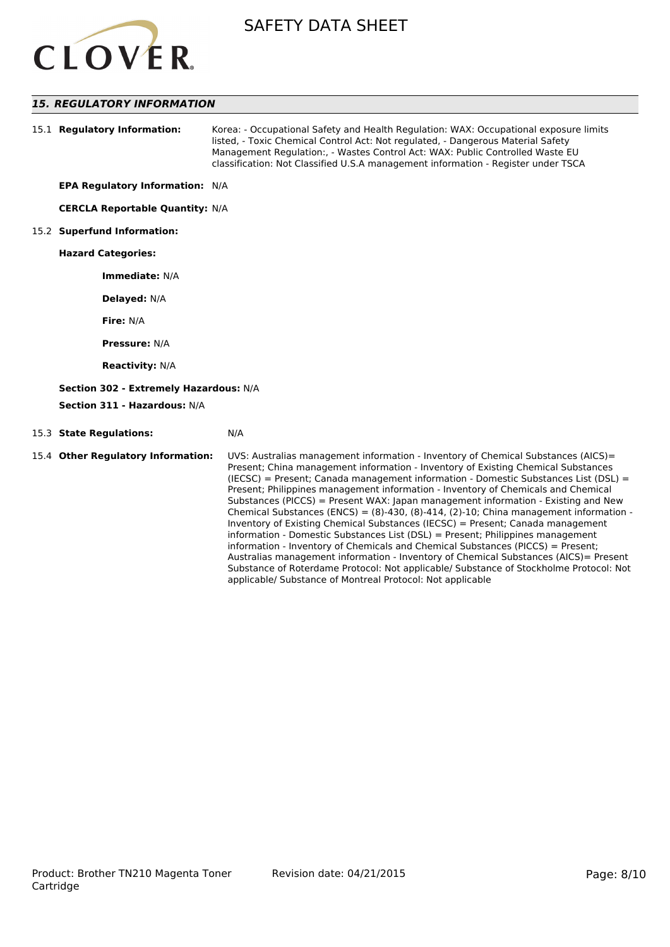

# *15. REGULATORY INFORMATION*

| 15.1 Regulatory Information:           | Korea: - Occupational Safety and Health Regulation: WAX: Occupational exposure limits<br>listed, - Toxic Chemical Control Act: Not regulated, - Dangerous Material Safety<br>Management Regulation:, - Wastes Control Act: WAX: Public Controlled Waste EU<br>classification: Not Classified U.S.A management information - Register under TSCA                                                                                                                                                                                                                                                                                                                                                                                                                                                                                                                                          |
|----------------------------------------|------------------------------------------------------------------------------------------------------------------------------------------------------------------------------------------------------------------------------------------------------------------------------------------------------------------------------------------------------------------------------------------------------------------------------------------------------------------------------------------------------------------------------------------------------------------------------------------------------------------------------------------------------------------------------------------------------------------------------------------------------------------------------------------------------------------------------------------------------------------------------------------|
| <b>EPA Regulatory Information: N/A</b> |                                                                                                                                                                                                                                                                                                                                                                                                                                                                                                                                                                                                                                                                                                                                                                                                                                                                                          |
| <b>CERCLA Reportable Quantity: N/A</b> |                                                                                                                                                                                                                                                                                                                                                                                                                                                                                                                                                                                                                                                                                                                                                                                                                                                                                          |
| 15.2 Superfund Information:            |                                                                                                                                                                                                                                                                                                                                                                                                                                                                                                                                                                                                                                                                                                                                                                                                                                                                                          |
| <b>Hazard Categories:</b>              |                                                                                                                                                                                                                                                                                                                                                                                                                                                                                                                                                                                                                                                                                                                                                                                                                                                                                          |
| Immediate: N/A                         |                                                                                                                                                                                                                                                                                                                                                                                                                                                                                                                                                                                                                                                                                                                                                                                                                                                                                          |
| Delayed: N/A                           |                                                                                                                                                                                                                                                                                                                                                                                                                                                                                                                                                                                                                                                                                                                                                                                                                                                                                          |
| Fire: N/A                              |                                                                                                                                                                                                                                                                                                                                                                                                                                                                                                                                                                                                                                                                                                                                                                                                                                                                                          |
| <b>Pressure: N/A</b>                   |                                                                                                                                                                                                                                                                                                                                                                                                                                                                                                                                                                                                                                                                                                                                                                                                                                                                                          |
| <b>Reactivity: N/A</b>                 |                                                                                                                                                                                                                                                                                                                                                                                                                                                                                                                                                                                                                                                                                                                                                                                                                                                                                          |
| Section 302 - Extremely Hazardous: N/A |                                                                                                                                                                                                                                                                                                                                                                                                                                                                                                                                                                                                                                                                                                                                                                                                                                                                                          |
| Section 311 - Hazardous: N/A           |                                                                                                                                                                                                                                                                                                                                                                                                                                                                                                                                                                                                                                                                                                                                                                                                                                                                                          |
| 15.3 State Regulations:                | N/A                                                                                                                                                                                                                                                                                                                                                                                                                                                                                                                                                                                                                                                                                                                                                                                                                                                                                      |
| 15.4 Other Regulatory Information:     | UVS: Australias management information - Inventory of Chemical Substances (AICS)=<br>Present; China management information - Inventory of Existing Chemical Substances<br>(IECSC) = Present; Canada management information - Domestic Substances List (DSL) =<br>Present; Philippines management information - Inventory of Chemicals and Chemical<br>Substances (PICCS) = Present WAX: Japan management information - Existing and New<br>Chemical Substances (ENCS) = $(8)$ -430, $(8)$ -414, $(2)$ -10; China management information -<br>Inventory of Existing Chemical Substances (IECSC) = Present; Canada management<br>information - Domestic Substances List (DSL) = Present; Philippines management<br>information - Inventory of Chemicals and Chemical Substances (PICCS) = Present;<br>Australias management information - Inventory of Chemical Substances (AICS)= Present |

Substance of Roterdame Protocol: Not applicable/ Substance of Stockholme Protocol: Not

applicable/ Substance of Montreal Protocol: Not applicable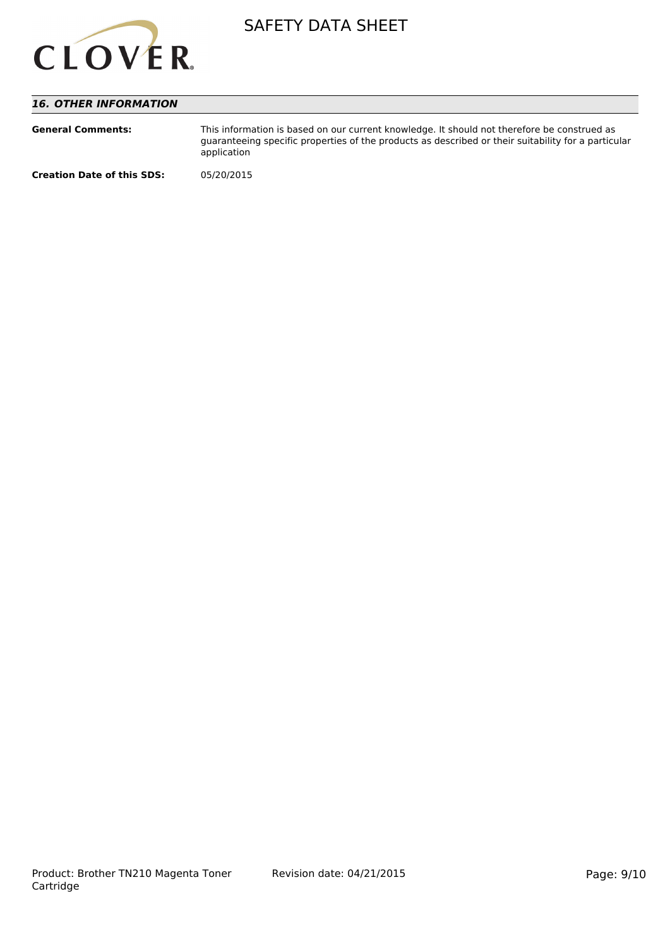

## *16. OTHER INFORMATION*

| <b>General Comments:</b>          | This information is based on our current knowledge. It should not therefore be construed as<br>quaranteeing specific properties of the products as described or their suitability for a particular<br>application |
|-----------------------------------|-------------------------------------------------------------------------------------------------------------------------------------------------------------------------------------------------------------------|
| <b>Creation Date of this SDS:</b> | 05/20/2015                                                                                                                                                                                                        |